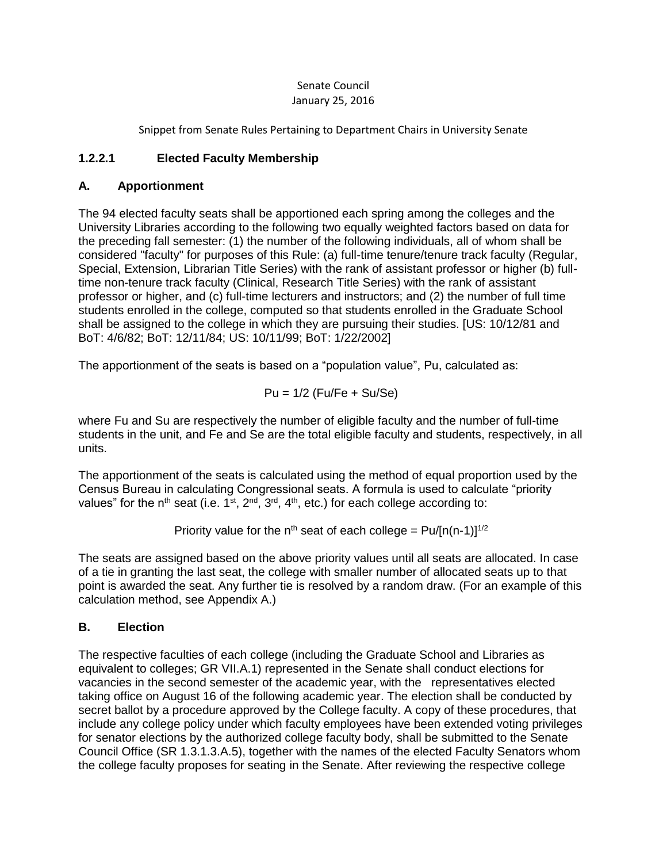## Senate Council January 25, 2016

Snippet from Senate Rules Pertaining to Department Chairs in University Senate

## **1.2.2.1 Elected Faculty Membership**

## **A. Apportionment**

The 94 elected faculty seats shall be apportioned each spring among the colleges and the University Libraries according to the following two equally weighted factors based on data for the preceding fall semester: (1) the number of the following individuals, all of whom shall be considered "faculty" for purposes of this Rule: (a) full-time tenure/tenure track faculty (Regular, Special, Extension, Librarian Title Series) with the rank of assistant professor or higher (b) fulltime non-tenure track faculty (Clinical, Research Title Series) with the rank of assistant professor or higher, and (c) full-time lecturers and instructors; and (2) the number of full time students enrolled in the college, computed so that students enrolled in the Graduate School shall be assigned to the college in which they are pursuing their studies. [US: 10/12/81 and BoT: 4/6/82; BoT: 12/11/84; US: 10/11/99; BoT: 1/22/2002]

The apportionment of the seats is based on a "population value", Pu, calculated as:

$$
Pu = 1/2 (Fu/Fe + Su/Se)
$$

where Fu and Su are respectively the number of eligible faculty and the number of full-time students in the unit, and Fe and Se are the total eligible faculty and students, respectively, in all units.

The apportionment of the seats is calculated using the method of equal proportion used by the Census Bureau in calculating Congressional seats. A formula is used to calculate "priority values" for the n<sup>th</sup> seat (i.e. 1<sup>st</sup>, 2<sup>nd</sup>, 3<sup>rd</sup>, 4<sup>th</sup>, etc.) for each college according to:

Priority value for the n<sup>th</sup> seat of each college =  $Pu/[n(n-1)]^{1/2}$ 

The seats are assigned based on the above priority values until all seats are allocated. In case of a tie in granting the last seat, the college with smaller number of allocated seats up to that point is awarded the seat. Any further tie is resolved by a random draw. (For an example of this calculation method, see Appendix A.)

## **B. Election**

The respective faculties of each college (including the Graduate School and Libraries as equivalent to colleges; GR VII.A.1) represented in the Senate shall conduct elections for vacancies in the second semester of the academic year, with the representatives elected taking office on August 16 of the following academic year. The election shall be conducted by secret ballot by a procedure approved by the College faculty. A copy of these procedures, that include any college policy under which faculty employees have been extended voting privileges for senator elections by the authorized college faculty body, shall be submitted to the Senate Council Office (SR 1.3.1.3.A.5), together with the names of the elected Faculty Senators whom the college faculty proposes for seating in the Senate. After reviewing the respective college